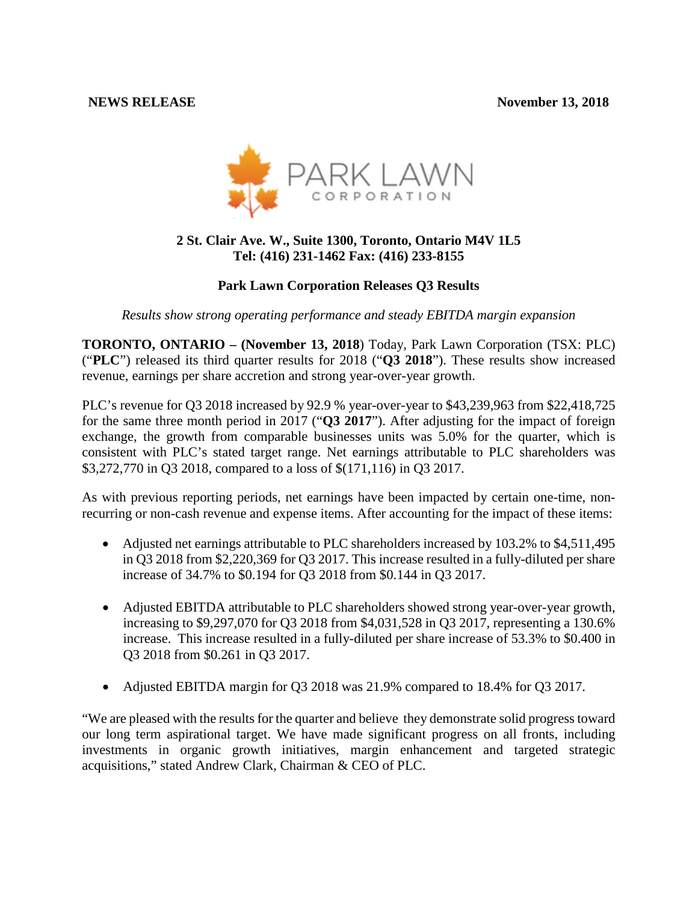

# **2 St. Clair Ave. W., Suite 1300, Toronto, Ontario M4V 1L5 Tel: (416) 231-1462 Fax: (416) 233-8155**

# **Park Lawn Corporation Releases Q3 Results**

*Results show strong operating performance and steady EBITDA margin expansion*

**TORONTO, ONTARIO – (November 13, 2018**) Today, Park Lawn Corporation (TSX: PLC) ("**PLC**") released its third quarter results for 2018 ("**Q3 2018**"). These results show increased revenue, earnings per share accretion and strong year-over-year growth.

PLC's revenue for Q3 2018 increased by 92.9 % year-over-year to \$43,239,963 from \$22,418,725 for the same three month period in 2017 ("**Q3 2017**"). After adjusting for the impact of foreign exchange, the growth from comparable businesses units was 5.0% for the quarter, which is consistent with PLC's stated target range. Net earnings attributable to PLC shareholders was \$3,272,770 in Q3 2018, compared to a loss of \$(171,116) in Q3 2017.

As with previous reporting periods, net earnings have been impacted by certain one-time, nonrecurring or non-cash revenue and expense items. After accounting for the impact of these items:

- Adjusted net earnings attributable to PLC shareholders increased by 103.2% to \$4,511,495 in Q3 2018 from \$2,220,369 for Q3 2017. This increase resulted in a fully-diluted per share increase of 34.7% to \$0.194 for Q3 2018 from \$0.144 in Q3 2017.
- Adjusted EBITDA attributable to PLC shareholders showed strong year-over-year growth, increasing to \$9,297,070 for Q3 2018 from \$4,031,528 in Q3 2017, representing a 130.6% increase. This increase resulted in a fully-diluted per share increase of 53.3% to \$0.400 in Q3 2018 from \$0.261 in Q3 2017.
- Adjusted EBITDA margin for Q3 2018 was 21.9% compared to 18.4% for Q3 2017.

"We are pleased with the results for the quarter and believe they demonstrate solid progress toward our long term aspirational target. We have made significant progress on all fronts, including investments in organic growth initiatives, margin enhancement and targeted strategic acquisitions," stated Andrew Clark, Chairman & CEO of PLC.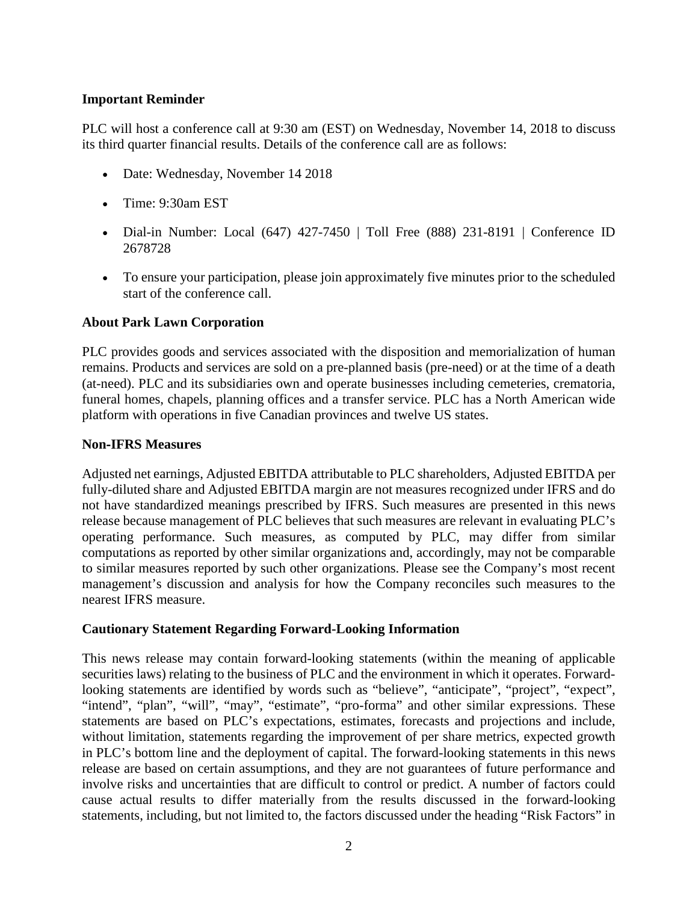## **Important Reminder**

PLC will host a conference call at 9:30 am (EST) on Wednesday, November 14, 2018 to discuss its third quarter financial results. Details of the conference call are as follows:

- Date: Wednesday, November 14 2018
- Time: 9:30am EST
- Dial-in Number: Local (647) 427-7450 | Toll Free (888) 231-8191 | Conference ID 2678728
- To ensure your participation, please join approximately five minutes prior to the scheduled start of the conference call.

# **About Park Lawn Corporation**

PLC provides goods and services associated with the disposition and memorialization of human remains. Products and services are sold on a pre-planned basis (pre-need) or at the time of a death (at-need). PLC and its subsidiaries own and operate businesses including cemeteries, crematoria, funeral homes, chapels, planning offices and a transfer service. PLC has a North American wide platform with operations in five Canadian provinces and twelve US states.

## **Non**‐**IFRS Measures**

Adjusted net earnings, Adjusted EBITDA attributable to PLC shareholders, Adjusted EBITDA per fully-diluted share and Adjusted EBITDA margin are not measures recognized under IFRS and do not have standardized meanings prescribed by IFRS. Such measures are presented in this news release because management of PLC believes that such measures are relevant in evaluating PLC's operating performance. Such measures, as computed by PLC, may differ from similar computations as reported by other similar organizations and, accordingly, may not be comparable to similar measures reported by such other organizations. Please see the Company's most recent management's discussion and analysis for how the Company reconciles such measures to the nearest IFRS measure.

# **Cautionary Statement Regarding Forward-Looking Information**

This news release may contain forward-looking statements (within the meaning of applicable securities laws) relating to the business of PLC and the environment in which it operates. Forwardlooking statements are identified by words such as "believe", "anticipate", "project", "expect", "intend", "plan", "will", "may", "estimate", "pro-forma" and other similar expressions. These statements are based on PLC's expectations, estimates, forecasts and projections and include, without limitation, statements regarding the improvement of per share metrics, expected growth in PLC's bottom line and the deployment of capital. The forward-looking statements in this news release are based on certain assumptions, and they are not guarantees of future performance and involve risks and uncertainties that are difficult to control or predict. A number of factors could cause actual results to differ materially from the results discussed in the forward-looking statements, including, but not limited to, the factors discussed under the heading "Risk Factors" in